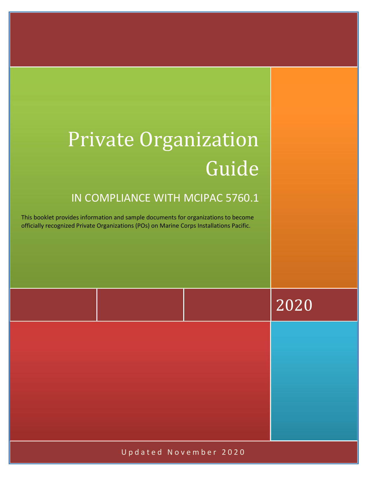# Private Organization Guide

### IN COMPLIANCE WITH MCIPAC 5760.1

This booklet provides information and sample documents for organizations to become officially recognized Private Organizations (POs) on Marine Corps Installations Pacific.

|  | 2020 |
|--|------|
|  |      |
|  |      |
|  |      |
|  |      |

Updated November 2020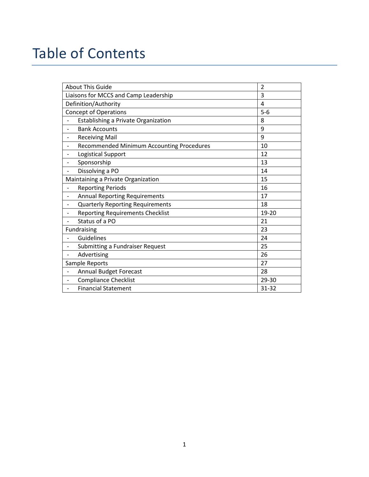### Table of Contents

| <b>About This Guide</b>                                               | $\overline{2}$ |
|-----------------------------------------------------------------------|----------------|
| Liaisons for MCCS and Camp Leadership                                 | 3              |
| Definition/Authority                                                  | 4              |
| <b>Concept of Operations</b>                                          | $5-6$          |
| Establishing a Private Organization                                   | 8              |
| <b>Bank Accounts</b><br>$\overline{\phantom{a}}$                      | 9              |
| <b>Receiving Mail</b><br>$\qquad \qquad \blacksquare$                 | 9              |
| Recommended Minimum Accounting Procedures<br>$\overline{\phantom{a}}$ | 10             |
| <b>Logistical Support</b><br>$\qquad \qquad \blacksquare$             | 12             |
| Sponsorship<br>$\qquad \qquad \blacksquare$                           | 13             |
| Dissolving a PO<br>$\overline{\phantom{a}}$                           | 14             |
| Maintaining a Private Organization                                    | 15             |
| <b>Reporting Periods</b><br>$\qquad \qquad -$                         | 16             |
| <b>Annual Reporting Requirements</b><br>$\overline{\phantom{a}}$      | 17             |
| <b>Quarterly Reporting Requirements</b><br>$\overline{\phantom{a}}$   | 18             |
| <b>Reporting Requirements Checklist</b><br>$\overline{\phantom{a}}$   | 19-20          |
| Status of a PO<br>$\overline{a}$                                      | 21             |
| Fundraising                                                           | 23             |
| Guidelines                                                            | 24             |
| Submitting a Fundraiser Request<br>$\overline{\phantom{a}}$           | 25             |
| Advertising<br>$\qquad \qquad -$                                      | 26             |
| Sample Reports                                                        | 27             |
| <b>Annual Budget Forecast</b><br>$\overline{\phantom{a}}$             | 28             |
| <b>Compliance Checklist</b><br>$\overline{\phantom{a}}$               | 29-30          |
| <b>Financial Statement</b>                                            | 31-32          |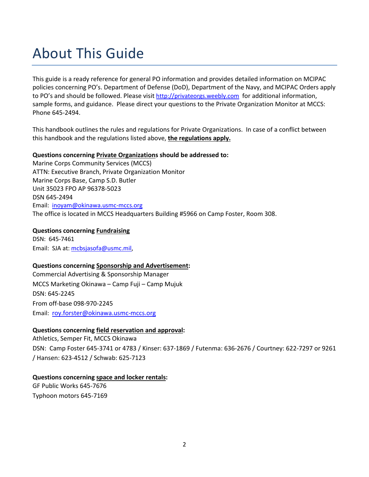### About This Guide

This guide is a ready reference for general PO information and provides detailed information on MCIPAC policies concerning PO's. Department of Defense (DoD), Department of the Navy, and MCIPAC Orders apply to PO's and should be followed. Please visit [http://privateorgs.weebly.com](http://privateorgs.weebly.com/) for additional information, sample forms, and guidance. Please direct your questions to the Private Organization Monitor at MCCS: Phone 645-2494.

This handbook outlines the rules and regulations for Private Organizations. In case of a conflict between this handbook and the regulations listed above, **the regulations apply.**

#### **Questions concerning Private Organizations should be addressed to:**

Marine Corps Community Services (MCCS) ATTN: Executive Branch, Private Organization Monitor Marine Corps Base, Camp S.D. Butler Unit 35023 FPO AP 96378-5023 DSN 645-2494 Email: [inoyam@okinawa.usmc-mccs.org](mailto:inoyam@okinawa.usmc-mccs.org) The office is located in MCCS Headquarters Building #5966 on Camp Foster, Room 308.

#### **Questions concerning Fundraising**

DSN: 645-7461 Email: SJA at: [mcbsjasofa@usmc.mil,](mailto:mcbsjasofa@usmc.mil)

#### **Questions concerning Sponsorship and Advertisement:**

Commercial Advertising & Sponsorship Manager MCCS Marketing Okinawa – Camp Fuji – Camp Mujuk DSN: 645-2245 From off-base 098-970-2245 Email: [roy.forster@okinawa.usmc-mccs.org](mailto:roy.forster@okinawa.usmc-mccs.org)

#### **Questions concerning field reservation and approval:**

Athletics, Semper Fit, MCCS Okinawa DSN: Camp Foster 645-3741 or 4783 / Kinser: 637-1869 / Futenma: 636-2676 / Courtney: 622-7297 or 9261 / Hansen: 623-4512 / Schwab: 625-7123

#### **Questions concerning space and locker rentals:**

GF Public Works 645-7676 Typhoon motors 645-7169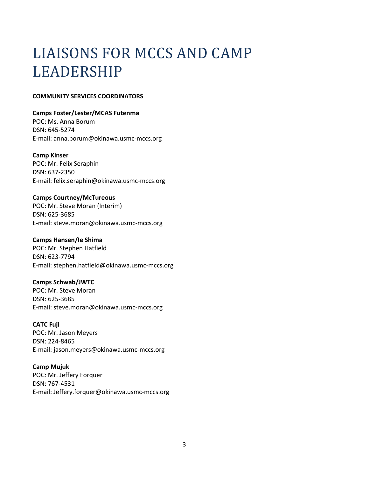# LIAISONS FOR MCCS AND CAMP LEADERSHIP

#### **COMMUNITY SERVICES COORDINATORS**

#### **Camps Foster/Lester/MCAS Futenma**

POC: Ms. Anna Borum DSN: 645-5274 E-mail: anna.borum@okinawa.usmc-mccs.org

#### **Camp Kinser**

POC: Mr. Felix Seraphin DSN: 637-2350 E-mail: felix.seraphin@okinawa.usmc-mccs.org

#### **Camps Courtney/McTureous**

POC: Mr. Steve Moran (Interim) DSN: 625-3685 E-mail: steve.moran@okinawa.usmc-mccs.org

#### **Camps Hansen/Ie Shima**

POC: Mr. Stephen Hatfield DSN: 623-7794 E-mail: stephen.hatfield@okinawa.usmc-mccs.org

#### **Camps Schwab/JWTC**

POC: Mr. Steve Moran DSN: 625-3685 E-mail: steve.moran@okinawa.usmc-mccs.org

#### **CATC Fuji**

POC: Mr. Jason Meyers DSN: 224-8465 E-mail: jason.meyers@okinawa.usmc-mccs.org

#### **Camp Mujuk**

POC: Mr. Jeffery Forquer DSN: 767-4531 E-mail: Jeffery.forquer@okinawa.usmc-mccs.org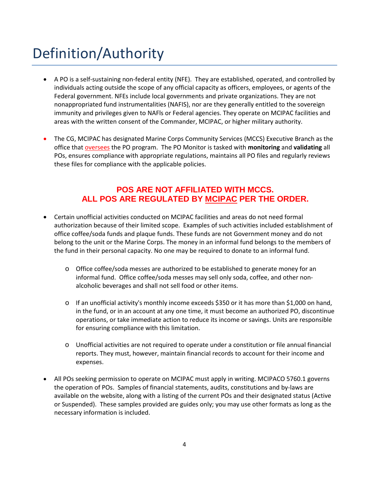# Definition/Authority

- A PO is a self-sustaining non-federal entity (NFE). They are established, operated, and controlled by individuals acting outside the scope of any official capacity as officers, employees, or agents of the Federal government. NFEs include local governments and private organizations. They are not nonappropriated fund instrumentalities (NAFIS), nor are they generally entitled to the sovereign immunity and privileges given to NAFls or Federal agencies. They operate on MCIPAC facilities and areas with the written consent of the Commander, MCIPAC, or higher military authority.
- The CG, MCIPAC has designated Marine Corps Community Services (MCCS) Executive Branch as the office that oversees the PO program. The PO Monitor is tasked with **monitoring** and **validating** all POs, ensures compliance with appropriate regulations, maintains all PO files and regularly reviews these files for compliance with the applicable policies.

### **POS ARE NOT AFFILIATED WITH MCCS. ALL POS ARE REGULATED BY MCIPAC PER THE ORDER.**

- Certain unofficial activities conducted on MCIPAC facilities and areas do not need formal authorization because of their limited scope. Examples of such activities included establishment of office coffee/soda funds and plaque funds. These funds are not Government money and do not belong to the unit or the Marine Corps. The money in an informal fund belongs to the members of the fund in their personal capacity. No one may be required to donate to an informal fund.
	- o Office coffee/soda messes are authorized to be established to generate money for an informal fund. Office coffee/soda messes may sell only soda, coffee, and other nonalcoholic beverages and shall not sell food or other items.
	- o If an unofficial activity's monthly income exceeds \$350 or it has more than \$1,000 on hand, in the fund, or in an account at any one time, it must become an authorized PO, discontinue operations, or take immediate action to reduce its income or savings. Units are responsible for ensuring compliance with this limitation.
	- o Unofficial activities are not required to operate under a constitution or file annual financial reports. They must, however, maintain financial records to account for their income and expenses.
- All POs seeking permission to operate on MCIPAC must apply in writing. MCIPACO 5760.1 governs the operation of POs. Samples of financial statements, audits, constitutions and by-laws are available on the website, along with a listing of the current POs and their designated status (Active or Suspended). These samples provided are guides only; you may use other formats as long as the necessary information is included.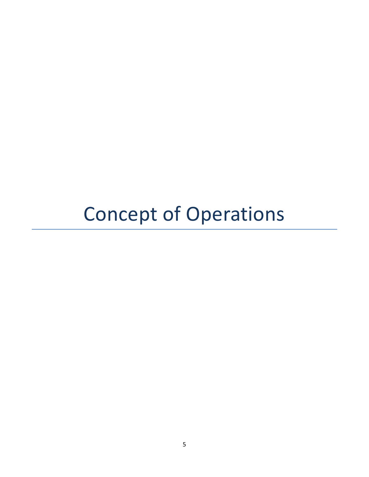# Concept of Operations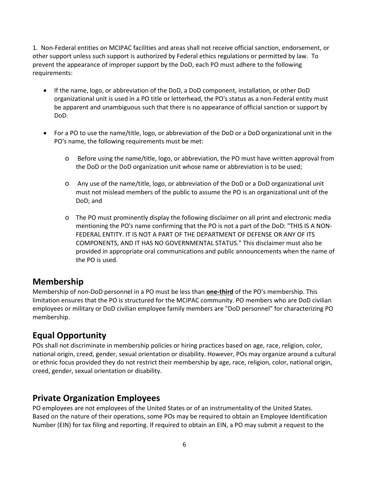1. Non-Federal entities on MCIPAC facilities and areas shall not receive official sanction, endorsement, or other support unless such support is authorized by Federal ethics regulations or permitted by law. To prevent the appearance of improper support by the DoD, each PO must adhere to the following requirements:

- If the name, logo, or abbreviation of the DoD, a DoD component, installation, or other DoD organizational unit is used in a PO title or letterhead, the PO's status as a non-Federal entity must be apparent and unambiguous such that there is no appearance of official sanction or support by DoD.
- For a PO to use the name/title, logo, or abbreviation of the DoD or a DoD organizational unit in the PO's name, the following requirements must be met:
	- o Before using the name/title, logo, or abbreviation, the PO must have written approval from the DoD or the DoD organization unit whose name or abbreviation is to be used;
	- o Any use of the name/title, logo, or abbreviation of the DoD or a DoD organizational unit must not mislead members of the public to assume the PO is an organizational unit of the DoD; and
	- o The PO must prominently display the following disclaimer on all print and electronic media mentioning the PO's name confirming that the PO is not a part of the DoD: "THIS IS A NON-FEDERAL ENTITY. IT IS NOT A PART OF THE DEPARTMENT OF DEFENSE OR ANY OF ITS COMPONENTS, AND IT HAS NO GOVERNMENTAL STATUS." This disclaimer must also be provided in appropriate oral communications and public announcements when the name of the PO is used.

### **Membership**

Membership of non-DoD personnel in a PO must be less than **one-third** of the PO's membership. This limitation ensures that the PO is structured for the MCIPAC community. PO members who are DoD civilian employees or military or DoD civilian employee family members are "DoD personnel" for characterizing PO membership.

### **Equal Opportunity**

POs shall not discriminate in membership policies or hiring practices based on age, race, religion, color, national origin, creed, gender, sexual orientation or disability. However, POs may organize around a cultural or ethnic focus provided they do not restrict their membership by age, race, religion, color, national origin, creed, gender, sexual orientation or disability.

### **Private Organization Employees**

PO employees are not employees of the United States or of an instrumentality of the United States. Based on the nature of their operations, some POs may be required to obtain an Employee Identification Number (EIN) for tax filing and reporting. If required to obtain an EIN, a PO may submit a request to the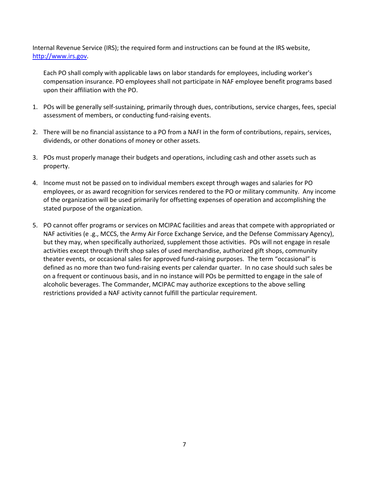Internal Revenue Service (IRS); the required form and instructions can be found at the IRS website, [http://www.irs.gov.](http://www.irs.gov/)

Each PO shall comply with applicable laws on labor standards for employees, including worker's compensation insurance. PO employees shall not participate in NAF employee benefit programs based upon their affiliation with the PO.

- 1. POs will be generally self-sustaining, primarily through dues, contributions, service charges, fees, special assessment of members, or conducting fund-raising events.
- 2. There will be no financial assistance to a PO from a NAFI in the form of contributions, repairs, services, dividends, or other donations of money or other assets.
- 3. POs must properly manage their budgets and operations, including cash and other assets such as property.
- 4. Income must not be passed on to individual members except through wages and salaries for PO employees, or as award recognition for services rendered to the PO or military community. Any income of the organization will be used primarily for offsetting expenses of operation and accomplishing the stated purpose of the organization.
- 5. PO cannot offer programs or services on MCIPAC facilities and areas that compete with appropriated or NAF activities (e .g., MCCS, the Army Air Force Exchange Service, and the Defense Commissary Agency), but they may, when specifically authorized, supplement those activities. POs will not engage in resale activities except through thrift shop sales of used merchandise, authorized gift shops, community theater events, or occasional sales for approved fund-raising purposes. The term "occasional" is defined as no more than two fund-raising events per calendar quarter. In no case should such sales be on a frequent or continuous basis, and in no instance will POs be permitted to engage in the sale of alcoholic beverages. The Commander, MCIPAC may authorize exceptions to the above selling restrictions provided a NAF activity cannot fulfill the particular requirement.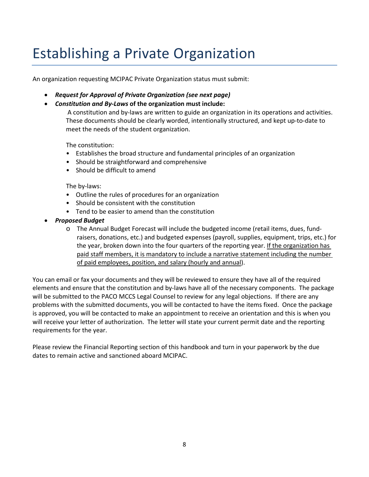## Establishing a Private Organization

An organization requesting MCIPAC Private Organization status must submit:

- *Request for Approval of Private Organization (see next page)*
- *Constitution and By-Laws* **of the organization must include:**

A constitution and by-laws are written to guide an organization in its operations and activities. These documents should be clearly worded, intentionally structured, and kept up-to-date to meet the needs of the student organization.

The constitution:

- Establishes the broad structure and fundamental principles of an organization
- Should be straightforward and comprehensive
- Should be difficult to amend

The by-laws:

- Outline the rules of procedures for an organization
- Should be consistent with the constitution
- Tend to be easier to amend than the constitution
- *Proposed Budget*
	- o The Annual Budget Forecast will include the budgeted income (retail items, dues, fundraisers, donations, etc.) and budgeted expenses (payroll, supplies, equipment, trips, etc.) for the year, broken down into the four quarters of the reporting year. If the organization has paid staff members, it is mandatory to include a narrative statement including the number of paid employees, position, and salary (hourly and annual).

You can email or fax your documents and they will be reviewed to ensure they have all of the required elements and ensure that the constitution and by-laws have all of the necessary components. The package will be submitted to the PACO MCCS Legal Counsel to review for any legal objections. If there are any problems with the submitted documents, you will be contacted to have the items fixed. Once the package is approved, you will be contacted to make an appointment to receive an orientation and this is when you will receive your letter of authorization. The letter will state your current permit date and the reporting requirements for the year.

Please review the Financial Reporting section of this handbook and turn in your paperwork by the due dates to remain active and sanctioned aboard MCIPAC.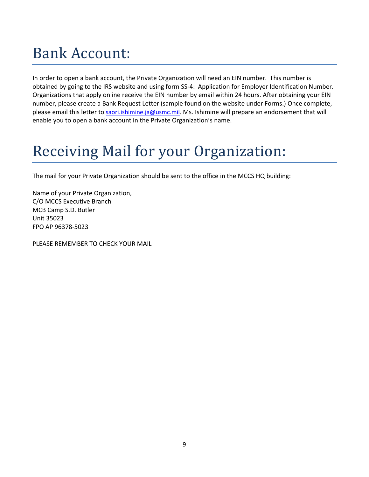# Bank Account:

In order to open a bank account, the Private Organization will need an EIN number. This number is obtained by going to the IRS website and using form SS-4: Application for Employer Identification Number. Organizations that apply online receive the EIN number by email within 24 hours. After obtaining your EIN number, please create a Bank Request Letter (sample found on the website under Forms.) Once complete, please email this letter to [saori.ishimine.ja@usmc.mil.](mailto:saori.ishimine.ja@usmc.mil) Ms. Ishimine will prepare an endorsement that will enable you to open a bank account in the Private Organization's name.

# Receiving Mail for your Organization:

The mail for your Private Organization should be sent to the office in the MCCS HQ building:

Name of your Private Organization, C/O MCCS Executive Branch MCB Camp S.D. Butler Unit 35023 FPO AP 96378-5023

PLEASE REMEMBER TO CHECK YOUR MAIL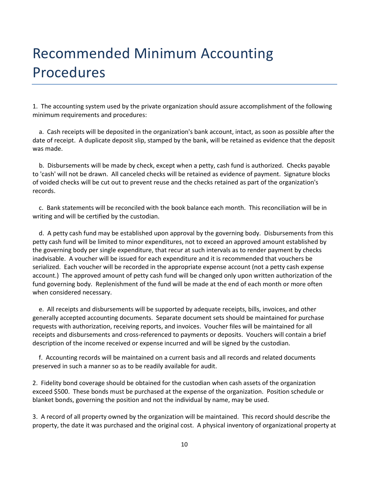# Recommended Minimum Accounting Procedures

1. The accounting system used by the private organization should assure accomplishment of the following minimum requirements and procedures:

 a. Cash receipts will be deposited in the organization's bank account, intact, as soon as possible after the date of receipt. A duplicate deposit slip, stamped by the bank, will be retained as evidence that the deposit was made.

 b. Disbursements will be made by check, except when a petty, cash fund is authorized. Checks payable to 'cash' will not be drawn. All canceled checks will be retained as evidence of payment. Signature blocks of voided checks will be cut out to prevent reuse and the checks retained as part of the organization's records.

 c. Bank statements will be reconciled with the book balance each month. This reconciliation will be in writing and will be certified by the custodian.

 d. A petty cash fund may be established upon approval by the governing body. Disbursements from this petty cash fund will be limited to minor expenditures, not to exceed an approved amount established by the governing body per single expenditure, that recur at such intervals as to render payment by checks inadvisable. A voucher will be issued for each expenditure and it is recommended that vouchers be serialized. Each voucher will be recorded in the appropriate expense account (not a petty cash expense account.) The approved amount of petty cash fund will be changed only upon written authorization of the fund governing body. Replenishment of the fund will be made at the end of each month or more often when considered necessary.

 e. All receipts and disbursements will be supported by adequate receipts, bills, invoices, and other generally accepted accounting documents. Separate document sets should be maintained for purchase requests with authorization, receiving reports, and invoices. Voucher files will be maintained for all receipts and disbursements and cross-referenced to payments or deposits. Vouchers will contain a brief description of the income received or expense incurred and will be signed by the custodian.

 f. Accounting records will be maintained on a current basis and all records and related documents preserved in such a manner so as to be readily available for audit.

2. Fidelity bond coverage should be obtained for the custodian when cash assets of the organization exceed \$500. These bonds must be purchased at the expense of the organization. Position schedule or blanket bonds, governing the position and not the individual by name, may be used.

3. A record of all property owned by the organization will be maintained. This record should describe the property, the date it was purchased and the original cost. A physical inventory of organizational property at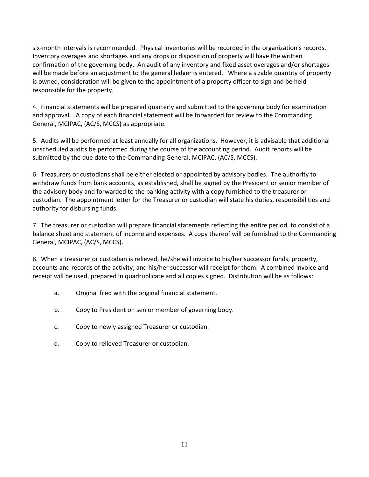six-month intervals is recommended. Physical inventories will be recorded in the organization's records. Inventory overages and shortages and any drops or disposition of property will have the written confirmation of the governing body. An audit of any inventory and fixed asset overages and/or shortages will be made before an adjustment to the general ledger is entered. Where a sizable quantity of property is owned, consideration will be given to the appointment of a property officer to sign and be held responsible for the property.

4. Financial statements will be prepared quarterly and submitted to the governing body for examination and approval. A copy of each financial statement will be forwarded for review to the Commanding General, MCIPAC, (AC/S, MCCS) as appropriate.

5. Audits will be performed at least annually for all organizations. However, it is advisable that additional unscheduled audits be performed during the course of the accounting period. Audit reports will be submitted by the due date to the Commanding General, MCIPAC, (AC/S, MCCS).

6. Treasurers or custodians shall be either elected or appointed by advisory bodies. The authority to withdraw funds from bank accounts, as established, shall be signed by the President or senior member of the advisory body and forwarded to the banking activity with a copy furnished to the treasurer or custodian. The appointment letter for the Treasurer or custodian will state his duties, responsibilities and authority for disbursing funds.

7. The treasurer or custodian will prepare financial statements reflecting the entire period, to consist of a balance sheet and statement of income and expenses. A copy thereof will be furnished to the Commanding General, MCIPAC, (AC/S, MCCS).

8. When a treasurer or custodian is relieved, he/she will invoice to his/her successor funds, property, accounts and records of the activity; and his/her successor will receipt for them. A combined invoice and receipt will be used, prepared in quadruplicate and all copies signed. Distribution will be as follows:

- a. Original filed with the original financial statement.
- b. Copy to President on senior member of governing body.
- c. Copy to newly assigned Treasurer or custodian.
- d. Copy to relieved Treasurer or custodian.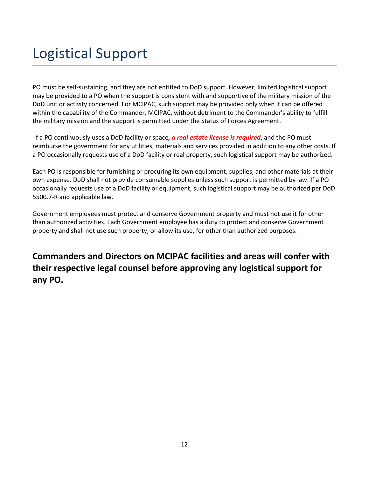## Logistical Support

PO must be self-sustaining, and they are not entitled to DoD support. However, limited logistical support may be provided to a PO when the support is consistent with and supportive of the military mission of the DoD unit or activity concerned. For MCIPAC, such support may be provided only when it can be offered within the capability of the Commander, MCIPAC, without detriment to the Commander's ability to fulfill the military mission and the support is permitted under the Status of Forces Agreement.

If a PO continuously uses a DoD facility or space*, a real estate license is required*, and the PO must reimburse the government for any utilities, materials and services provided in addition to any other costs. If a PO occasionally requests use of a DoD facility or real property, such logistical support may be authorized.

Each PO is responsible for furnishing or procuring its own equipment, supplies, and other materials at their own expense. DoD shall not provide consumable supplies unless such support is permitted by law. If a PO occasionally requests use of a DoD facility or equipment, such logistical support may be authorized per DoD 5500.7-R and applicable law.

Government employees must protect and conserve Government property and must not use it for other than authorized activities. Each Government employee has a duty to protect and conserve Government property and shall not use such property, or allow its use, for other than authorized purposes.

**Commanders and Directors on MCIPAC facilities and areas will confer with their respective legal counsel before approving any logistical support for any PO.**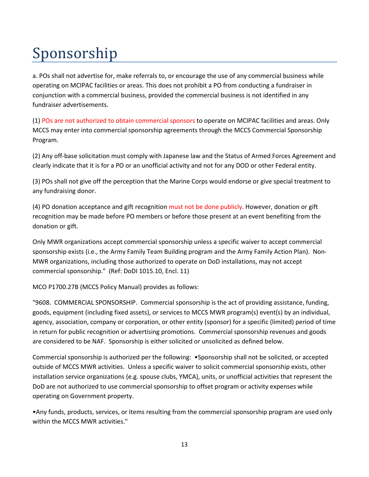# Sponsorship

a. POs shall not advertise for, make referrals to, or encourage the use of any commercial business while operating on MCIPAC facilities or areas. This does not prohibit a PO from conducting a fundraiser in conjunction with a commercial business, provided the commercial business is not identified in any fundraiser advertisements.

(1) POs are not authorized to obtain commercial sponsors to operate on MCIPAC facilities and areas. Only MCCS may enter into commercial sponsorship agreements through the MCCS Commercial Sponsorship Program.

(2) Any off-base solicitation must comply with Japanese law and the Status of Armed Forces Agreement and clearly indicate that it is for a PO or an unofficial activity and not for any DOD or other Federal entity.

(3) POs shall not give off the perception that the Marine Corps would endorse or give special treatment to any fundraising donor.

(4) PO donation acceptance and gift recognition must not be done publicly. However, donation or gift recognition may be made before PO members or before those present at an event benefiting from the donation or gift.

Only MWR organizations accept commercial sponsorship unless a specific waiver to accept commercial sponsorship exists (i.e., the Army Family Team Building program and the Army Family Action Plan). Non-MWR organizations, including those authorized to operate on DoD installations, may not accept commercial sponsorship." (Ref: DoDI 1015.10, Encl. 11)

MCO P1700.27B (MCCS Policy Manual) provides as follows:

"9608. COMMERCIAL SPONSORSHIP. Commercial sponsorship is the act of providing assistance, funding, goods, equipment (including fixed assets), or services to MCCS MWR program(s) event(s) by an individual, agency, association, company or corporation, or other entity (sponsor) for a specific (limited) period of time in return for public recognition or advertising promotions. Commercial sponsorship revenues and goods are considered to be NAF. Sponsorship is either solicited or unsolicited as defined below.

Commercial sponsorship is authorized per the following: •Sponsorship shall not be solicited, or accepted outside of MCCS MWR activities. Unless a specific waiver to solicit commercial sponsorship exists, other installation service organizations (e.g. spouse clubs, YMCA), units, or unofficial activities that represent the DoD are not authorized to use commercial sponsorship to offset program or activity expenses while operating on Government property.

•Any funds, products, services, or items resulting from the commercial sponsorship program are used only within the MCCS MWR activities."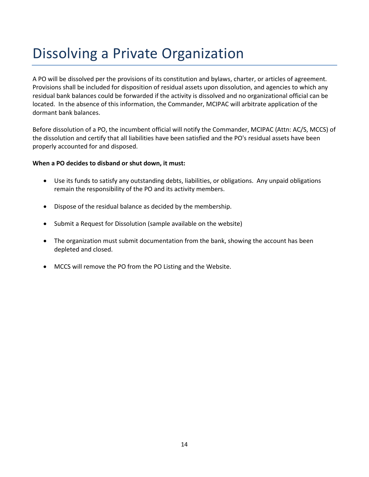### Dissolving a Private Organization

A PO will be dissolved per the provisions of its constitution and bylaws, charter, or articles of agreement. Provisions shall be included for disposition of residual assets upon dissolution, and agencies to which any residual bank balances could be forwarded if the activity is dissolved and no organizational official can be located. In the absence of this information, the Commander, MCIPAC will arbitrate application of the dormant bank balances.

Before dissolution of a PO, the incumbent official will notify the Commander, MCIPAC (Attn: AC/S, MCCS) of the dissolution and certify that all liabilities have been satisfied and the PO's residual assets have been properly accounted for and disposed.

#### **When a PO decides to disband or shut down, it must:**

- Use its funds to satisfy any outstanding debts, liabilities, or obligations. Any unpaid obligations remain the responsibility of the PO and its activity members.
- Dispose of the residual balance as decided by the membership.
- Submit a Request for Dissolution (sample available on the website)
- The organization must submit documentation from the bank, showing the account has been depleted and closed.
- MCCS will remove the PO from the PO Listing and the Website.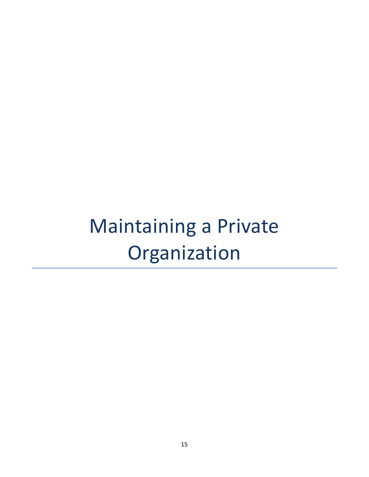# Maintaining a Private Organization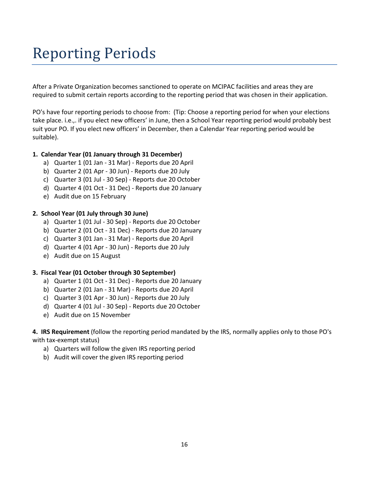# Reporting Periods

After a Private Organization becomes sanctioned to operate on MCIPAC facilities and areas they are required to submit certain reports according to the reporting period that was chosen in their application.

PO's have four reporting periods to choose from: (Tip: Choose a reporting period for when your elections take place. i.e.,. if you elect new officers' in June, then a School Year reporting period would probably best suit your PO. If you elect new officers' in December, then a Calendar Year reporting period would be suitable).

#### **1. Calendar Year (01 January through 31 December)**

- a) Quarter 1 (01 Jan 31 Mar) Reports due 20 April
- b) Quarter 2 (01 Apr 30 Jun) Reports due 20 July
- c) Quarter 3 (01 Jul 30 Sep) Reports due 20 October
- d) Quarter 4 (01 Oct 31 Dec) Reports due 20 January
- e) Audit due on 15 February

#### **2. School Year (01 July through 30 June)**

- a) Quarter 1 (01 Jul 30 Sep) Reports due 20 October
- b) Quarter 2 (01 Oct 31 Dec) Reports due 20 January
- c) Quarter 3 (01 Jan 31 Mar) Reports due 20 April
- d) Quarter 4 (01 Apr 30 Jun) Reports due 20 July
- e) Audit due on 15 August

#### **3. Fiscal Year (01 October through 30 September)**

- a) Quarter 1 (01 Oct 31 Dec) Reports due 20 January
- b) Quarter 2 (01 Jan 31 Mar) Reports due 20 April
- c) Quarter 3 (01 Apr 30 Jun) Reports due 20 July
- d) Quarter 4 (01 Jul 30 Sep) Reports due 20 October
- e) Audit due on 15 November

**4. IRS Requirement** (follow the reporting period mandated by the IRS, normally applies only to those PO's with tax-exempt status)

- a) Quarters will follow the given IRS reporting period
- b) Audit will cover the given IRS reporting period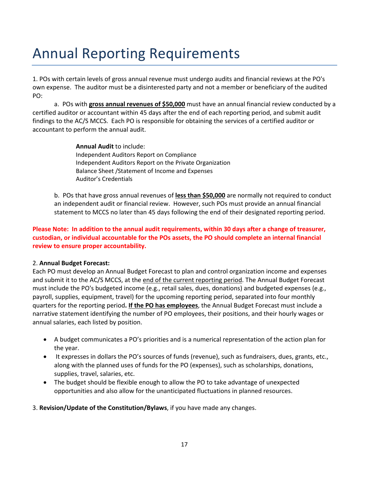## Annual Reporting Requirements

1. POs with certain levels of gross annual revenue must undergo audits and financial reviews at the PO's own expense. The auditor must be a disinterested party and not a member or beneficiary of the audited PO:

a. POs with **gross annual revenues of \$50,000** must have an annual financial review conducted by a certified auditor or accountant within 45 days after the end of each reporting period, and submit audit findings to the AC/S MCCS. Each PO is responsible for obtaining the services of a certified auditor or accountant to perform the annual audit.

> **Annual Audit** to include: Independent Auditors Report on Compliance Independent Auditors Report on the Private Organization Balance Sheet /Statement of Income and Expenses Auditor's Credentials

b. POs that have gross annual revenues of **less than \$50,000** are normally not required to conduct an independent audit or financial review. However, such POs must provide an annual financial statement to MCCS no later than 45 days following the end of their designated reporting period.

#### **Please Note: In addition to the annual audit requirements, within 30 days after a change of treasurer, custodian, or individual accountable for the POs assets, the PO should complete an internal financial review to ensure proper accountability.**

#### 2. **Annual Budget Forecast:**

Each PO must develop an Annual Budget Forecast to plan and control organization income and expenses and submit it to the AC/S MCCS, at the end of the current reporting period. The Annual Budget Forecast must include the PO's budgeted income (e.g., retail sales, dues, donations) and budgeted expenses (e.g., payroll, supplies, equipment, travel) for the upcoming reporting period, separated into four monthly quarters for the reporting period**. If the PO has employees**, the Annual Budget Forecast must include a narrative statement identifying the number of PO employees, their positions, and their hourly wages or annual salaries, each listed by position.

- A budget communicates a PO's priorities and is a numerical representation of the action plan for the year.
- It expresses in dollars the PO's sources of funds (revenue), such as fundraisers, dues, grants, etc., along with the planned uses of funds for the PO (expenses), such as scholarships, donations, supplies, travel, salaries, etc.
- The budget should be flexible enough to allow the PO to take advantage of unexpected opportunities and also allow for the unanticipated fluctuations in planned resources.
- 3. **Revision/Update of the Constitution/Bylaws**, if you have made any changes.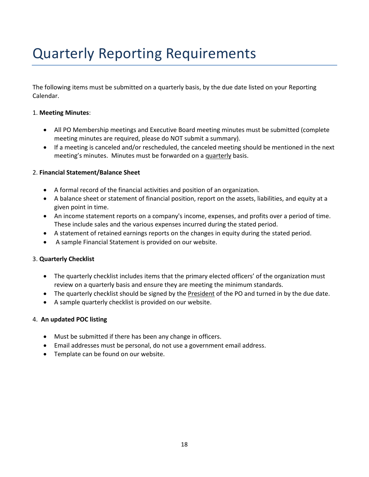# Quarterly Reporting Requirements

The following items must be submitted on a quarterly basis, by the due date listed on your Reporting Calendar.

#### 1. **Meeting Minutes**:

- All PO Membership meetings and Executive Board meeting minutes must be submitted (complete meeting minutes are required, please do NOT submit a summary).
- If a meeting is canceled and/or rescheduled, the canceled meeting should be mentioned in the next meeting's minutes. Minutes must be forwarded on a quarterly basis.

#### 2. **Financial Statement/Balance Sheet**

- A formal record of the financial activities and position of an organization.
- A balance sheet or statement of financial position, report on the assets, liabilities, and equity at a given point in time.
- An income statement reports on a company's income, expenses, and profits over a period of time. These include sales and the various expenses incurred during the stated period.
- A statement of retained earnings reports on the changes in equity during the stated period.
- A sample Financial Statement is provided on our website.

#### 3. **Quarterly Checklist**

- The quarterly checklist includes items that the primary elected officers' of the organization must review on a quarterly basis and ensure they are meeting the minimum standards.
- The quarterly checklist should be signed by the President of the PO and turned in by the due date.
- A sample quarterly checklist is provided on our website.

#### 4. **An updated POC listing**

- Must be submitted if there has been any change in officers.
- Email addresses must be personal, do not use a government email address.
- Template can be found on our website.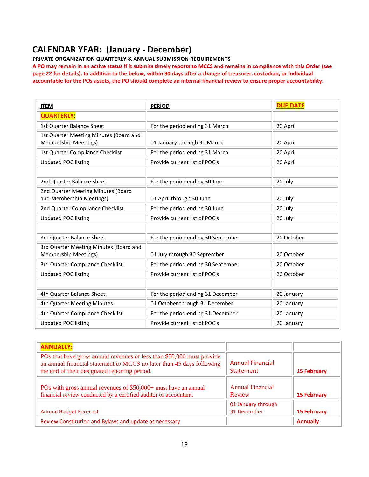### **CALENDAR YEAR: (January - December)**

**PRIVATE ORGANIZATION QUARTERLY & ANNUAL SUBMISSION REQUIREMENTS**

**A PO may remain in an active status if it submits timely reports to MCCS and remains in compliance with this Order (see page 22 for details). In addition to the below, within 30 days after a change of treasurer, custodian, or individual accountable for the POs assets, the PO should complete an internal financial review to ensure proper accountability.**

| <b>ITEM</b>                                                           | <b>PERIOD</b>                      | <b>DUE DATE</b> |
|-----------------------------------------------------------------------|------------------------------------|-----------------|
| <b>QUARTERLY:</b>                                                     |                                    |                 |
| 1st Quarter Balance Sheet                                             | For the period ending 31 March     | 20 April        |
| 1st Quarter Meeting Minutes (Board and<br><b>Membership Meetings)</b> | 01 January through 31 March        | 20 April        |
| 1st Quarter Compliance Checklist                                      | For the period ending 31 March     | 20 April        |
| <b>Updated POC listing</b>                                            | Provide current list of POC's      | 20 April        |
|                                                                       |                                    |                 |
| 2nd Quarter Balance Sheet                                             | For the period ending 30 June      | 20 July         |
| 2nd Quarter Meeting Minutes (Board<br>and Membership Meetings)        | 01 April through 30 June           | 20 July         |
| 2nd Quarter Compliance Checklist                                      | For the period ending 30 June      | 20 July         |
| <b>Updated POC listing</b>                                            | Provide current list of POC's      | 20 July         |
|                                                                       |                                    |                 |
| 3rd Quarter Balance Sheet                                             | For the period ending 30 September | 20 October      |
| 3rd Quarter Meeting Minutes (Board and<br><b>Membership Meetings)</b> | 01 July through 30 September       | 20 October      |
| 3rd Quarter Compliance Checklist                                      | For the period ending 30 September | 20 October      |
| <b>Updated POC listing</b>                                            | Provide current list of POC's      | 20 October      |
|                                                                       |                                    |                 |
| 4th Quarter Balance Sheet                                             | For the period ending 31 December  | 20 January      |
| 4th Quarter Meeting Minutes                                           | 01 October through 31 December     | 20 January      |
| 4th Quarter Compliance Checklist                                      | For the period ending 31 December  | 20 January      |
| <b>Updated POC listing</b>                                            | Provide current list of POC's      | 20 January      |

| <b>ANNUALLY:</b>                                                                                                                                                                                 |                                      |                    |
|--------------------------------------------------------------------------------------------------------------------------------------------------------------------------------------------------|--------------------------------------|--------------------|
| POs that have gross annual revenues of less than \$50,000 must provide<br>an annual financial statement to MCCS no later than 45 days following<br>the end of their designated reporting period. | <b>Annual Financial</b><br>Statement | <b>15 February</b> |
| POs with gross annual revenues of \$50,000+ must have an annual<br>financial review conducted by a certified auditor or accountant.                                                              | <b>Annual Financial</b><br>Review    | <b>15 February</b> |
| <b>Annual Budget Forecast</b>                                                                                                                                                                    | 01 January through<br>31 December    | <b>15 February</b> |
| Review Constitution and Bylaws and update as necessary                                                                                                                                           |                                      | <b>Annually</b>    |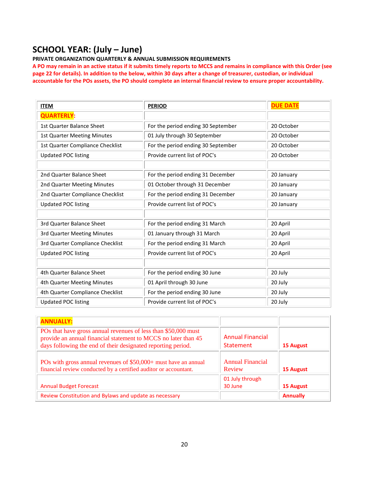### **SCHOOL YEAR: (July – June)**

#### **PRIVATE ORGANIZATION QUARTERLY & ANNUAL SUBMISSION REQUIREMENTS**

**A PO may remain in an active status if it submits timely reports to MCCS and remains in compliance with this Order (see page 22 for details). In addition to the below, within 30 days after a change of treasurer, custodian, or individual accountable for the POs assets, the PO should complete an internal financial review to ensure proper accountability.**

| <b>ITEM</b>                        | <b>PERIOD</b>                      | <b>DUE DATE</b> |
|------------------------------------|------------------------------------|-----------------|
| <b>QUARTERLY:</b>                  |                                    |                 |
| 1st Quarter Balance Sheet          | For the period ending 30 September | 20 October      |
| <b>1st Quarter Meeting Minutes</b> | 01 July through 30 September       | 20 October      |
| 1st Quarter Compliance Checklist   | For the period ending 30 September | 20 October      |
| <b>Updated POC listing</b>         | Provide current list of POC's      | 20 October      |
|                                    |                                    |                 |
| 2nd Quarter Balance Sheet          | For the period ending 31 December  | 20 January      |
| 2nd Quarter Meeting Minutes        | 01 October through 31 December     | 20 January      |
| 2nd Quarter Compliance Checklist   | For the period ending 31 December  | 20 January      |
| <b>Updated POC listing</b>         | Provide current list of POC's      | 20 January      |
|                                    |                                    |                 |
| 3rd Quarter Balance Sheet          | For the period ending 31 March     | 20 April        |
| 3rd Quarter Meeting Minutes        | 01 January through 31 March        | 20 April        |
| 3rd Quarter Compliance Checklist   | For the period ending 31 March     | 20 April        |
| <b>Updated POC listing</b>         | Provide current list of POC's      | 20 April        |
|                                    |                                    |                 |
| 4th Quarter Balance Sheet          | For the period ending 30 June      | 20 July         |
| 4th Quarter Meeting Minutes        | 01 April through 30 June           | 20 July         |
| 4th Quarter Compliance Checklist   | For the period ending 30 June      | 20 July         |
| <b>Updated POC listing</b>         | Provide current list of POC's      | 20 July         |

| <b>ANNUALLY:</b>                                                                                                                                                                                 |                                             |                 |
|--------------------------------------------------------------------------------------------------------------------------------------------------------------------------------------------------|---------------------------------------------|-----------------|
| POs that have gross annual revenues of less than \$50,000 must<br>provide an annual financial statement to MCCS no later than 45<br>days following the end of their designated reporting period. | <b>Annual Financial</b><br><b>Statement</b> | 15 August       |
| POs with gross annual revenues of \$50,000+ must have an annual<br>financial review conducted by a certified auditor or accountant.                                                              | <b>Annual Financial</b><br>Review           | 15 August       |
| <b>Annual Budget Forecast</b>                                                                                                                                                                    | 01 July through<br>30 June                  | 15 August       |
| Review Constitution and Bylaws and update as necessary                                                                                                                                           |                                             | <b>Annually</b> |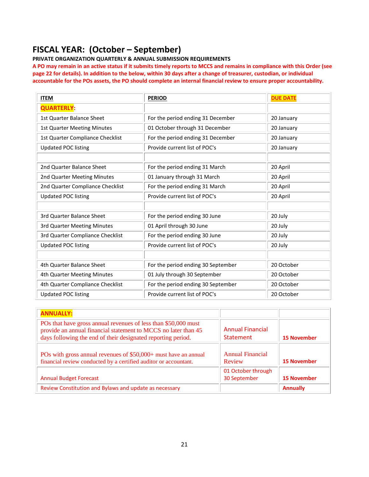### **FISCAL YEAR: (October – September)**

**PRIVATE ORGANIZATION QUARTERLY & ANNUAL SUBMISSION REQUIREMENTS**

**A PO may remain in an active status if it submits timely reports to MCCS and remains in compliance with this Order (see page 22 for details). In addition to the below, within 30 days after a change of treasurer, custodian, or individual accountable for the POs assets, the PO should complete an internal financial review to ensure proper accountability.**

| <b>ITEM</b>                        | <b>PERIOD</b>                      | <b>DUE DATE</b> |
|------------------------------------|------------------------------------|-----------------|
| <b>QUARTERLY:</b>                  |                                    |                 |
| 1st Quarter Balance Sheet          | For the period ending 31 December  | 20 January      |
| <b>1st Quarter Meeting Minutes</b> | 01 October through 31 December     | 20 January      |
| 1st Quarter Compliance Checklist   | For the period ending 31 December  | 20 January      |
| <b>Updated POC listing</b>         | Provide current list of POC's      | 20 January      |
|                                    |                                    |                 |
| 2nd Quarter Balance Sheet          | For the period ending 31 March     | 20 April        |
| 2nd Quarter Meeting Minutes        | 01 January through 31 March        | 20 April        |
| 2nd Quarter Compliance Checklist   | For the period ending 31 March     | 20 April        |
| <b>Updated POC listing</b>         | Provide current list of POC's      | 20 April        |
|                                    |                                    |                 |
| 3rd Quarter Balance Sheet          | For the period ending 30 June      | 20 July         |
| 3rd Quarter Meeting Minutes        | 01 April through 30 June           | 20 July         |
| 3rd Quarter Compliance Checklist   | For the period ending 30 June      | 20 July         |
| <b>Updated POC listing</b>         | Provide current list of POC's      | 20 July         |
|                                    |                                    |                 |
| 4th Quarter Balance Sheet          | For the period ending 30 September | 20 October      |
| 4th Quarter Meeting Minutes        | 01 July through 30 September       | 20 October      |
| 4th Quarter Compliance Checklist   | For the period ending 30 September | 20 October      |
| <b>Updated POC listing</b>         | Provide current list of POC's      | 20 October      |

| <b>ANNUALLY:</b>                                                                                                                                                                                 |                                             |                    |
|--------------------------------------------------------------------------------------------------------------------------------------------------------------------------------------------------|---------------------------------------------|--------------------|
| POs that have gross annual revenues of less than \$50,000 must<br>provide an annual financial statement to MCCS no later than 45<br>days following the end of their designated reporting period. | <b>Annual Financial</b><br><b>Statement</b> | <b>15 November</b> |
| POs with gross annual revenues of \$50,000+ must have an annual<br>financial review conducted by a certified auditor or accountant.                                                              | <b>Annual Financial</b><br>Review           | <b>15 November</b> |
| <b>Annual Budget Forecast</b>                                                                                                                                                                    | 01 October through<br>30 September          | <b>15 November</b> |
| Review Constitution and Bylaws and update as necessary                                                                                                                                           |                                             | <b>Annually</b>    |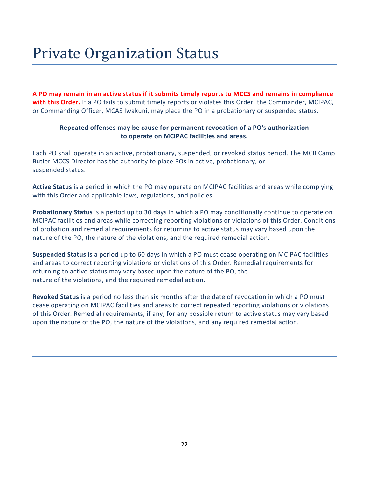# Private Organization Status

**A PO may remain in an active status if it submits timely reports to MCCS and remains in compliance with this Order.** If a PO fails to submit timely reports or violates this Order, the Commander, MCIPAC, or Commanding Officer, MCAS Iwakuni, may place the PO in a probationary or suspended status.

#### **Repeated offenses may be cause for permanent revocation of a PO's authorization to operate on MCIPAC facilities and areas.**

Each PO shall operate in an active, probationary, suspended, or revoked status period. The MCB Camp Butler MCCS Director has the authority to place POs in active, probationary, or suspended status.

**Active Status** is a period in which the PO may operate on MCIPAC facilities and areas while complying with this Order and applicable laws, regulations, and policies.

**Probationary Status** is a period up to 30 days in which a PO may conditionally continue to operate on MCIPAC facilities and areas while correcting reporting violations or violations of this Order. Conditions of probation and remedial requirements for returning to active status may vary based upon the nature of the PO, the nature of the violations, and the required remedial action.

**Suspended Status** is a period up to 60 days in which a PO must cease operating on MCIPAC facilities and areas to correct reporting violations or violations of this Order. Remedial requirements for returning to active status may vary based upon the nature of the PO, the nature of the violations, and the required remedial action.

**Revoked Status** is a period no less than six months after the date of revocation in which a PO must cease operating on MCIPAC facilities and areas to correct repeated reporting violations or violations of this Order. Remedial requirements, if any, for any possible return to active status may vary based upon the nature of the PO, the nature of the violations, and any required remedial action.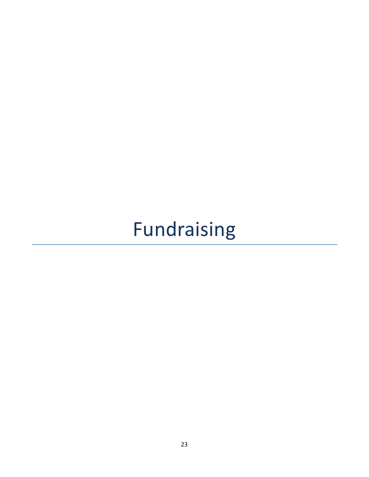# Fundraising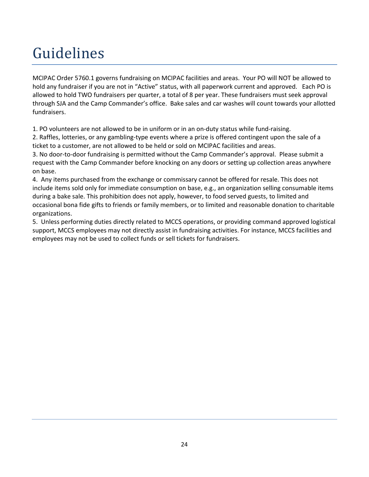# Guidelines

MCIPAC Order 5760.1 governs fundraising on MCIPAC facilities and areas. Your PO will NOT be allowed to hold any fundraiser if you are not in "Active" status, with all paperwork current and approved. Each PO is allowed to hold TWO fundraisers per quarter, a total of 8 per year. These fundraisers must seek approval through SJA and the Camp Commander's office. Bake sales and car washes will count towards your allotted fundraisers.

1. PO volunteers are not allowed to be in uniform or in an on-duty status while fund-raising.

2. Raffles, lotteries, or any gambling-type events where a prize is offered contingent upon the sale of a ticket to a customer, are not allowed to be held or sold on MCIPAC facilities and areas.

3. No door-to-door fundraising is permitted without the Camp Commander's approval. Please submit a request with the Camp Commander before knocking on any doors or setting up collection areas anywhere on base.

4. Any items purchased from the exchange or commissary cannot be offered for resale. This does not include items sold only for immediate consumption on base, e.g., an organization selling consumable items during a bake sale. This prohibition does not apply, however, to food served guests, to limited and occasional bona fide gifts to friends or family members, or to limited and reasonable donation to charitable organizations.

5. Unless performing duties directly related to MCCS operations, or providing command approved logistical support, MCCS employees may not directly assist in fundraising activities. For instance, MCCS facilities and employees may not be used to collect funds or sell tickets for fundraisers.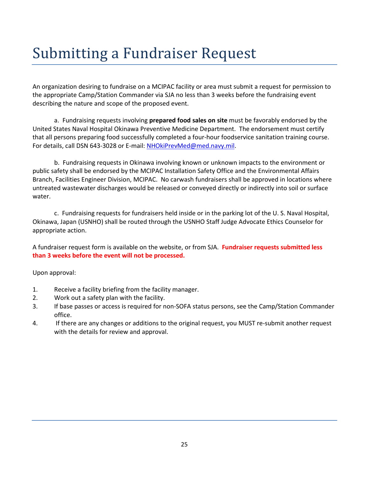# Submitting a Fundraiser Request

An organization desiring to fundraise on a MCIPAC facility or area must submit a request for permission to the appropriate Camp/Station Commander via SJA no less than 3 weeks before the fundraising event describing the nature and scope of the proposed event.

a. Fundraising requests involving **prepared food sales on site** must be favorably endorsed by the United States Naval Hospital Okinawa Preventive Medicine Department. The endorsement must certify that all persons preparing food successfully completed a four-hour foodservice sanitation training course. For details, call DSN 643-3028 or E-mail: [NHOkiPrevMed@med.navy.mil.](mailto:NHOkiPrevMed@med.navy.mil)

b. Fundraising requests in Okinawa involving known or unknown impacts to the environment or public safety shall be endorsed by the MCIPAC Installation Safety Office and the Environmental Affairs Branch, Facilities Engineer Division, MCIPAC. No carwash fundraisers shall be approved in locations where untreated wastewater discharges would be released or conveyed directly or indirectly into soil or surface water.

c. Fundraising requests for fundraisers held inside or in the parking lot of the U. S. Naval Hospital, Okinawa, Japan (USNHO) shall be routed through the USNHO Staff Judge Advocate Ethics Counselor for appropriate action.

A fundraiser request form is available on the website, or from SJA. **Fundraiser requests submitted less than 3 weeks before the event will not be processed.**

Upon approval:

- 1. Receive a facility briefing from the facility manager.
- 2. Work out a safety plan with the facility.
- 3. If base passes or access is required for non-SOFA status persons, see the Camp/Station Commander office.
- 4. If there are any changes or additions to the original request, you MUST re-submit another request with the details for review and approval.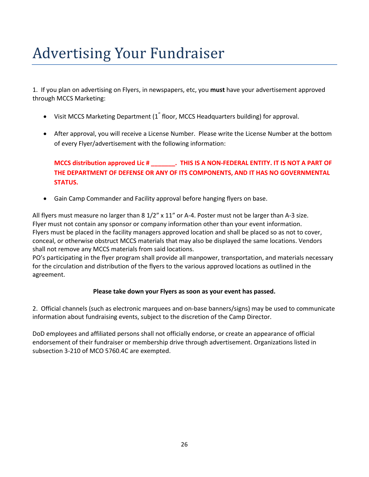# Advertising Your Fundraiser

1. If you plan on advertising on Flyers, in newspapers, etc, you **must** have your advertisement approved through MCCS Marketing:

- Visit MCCS Marketing Department (1<sup>st</sup> floor, MCCS Headquarters building) for approval.
- After approval, you will receive a License Number. Please write the License Number at the bottom of every Flyer/advertisement with the following information:

#### **MCCS distribution approved Lic # \_\_\_\_\_\_\_. THIS IS A NON-FEDERAL ENTITY. IT IS NOT A PART OF THE DEPARTMENT OF DEFENSE OR ANY OF ITS COMPONENTS, AND IT HAS NO GOVERNMENTAL STATUS.**

• Gain Camp Commander and Facility approval before hanging flyers on base.

All flyers must measure no larger than 8 1/2" x 11" or A-4. Poster must not be larger than A-3 size. Flyer must not contain any sponsor or company information other than your event information. Flyers must be placed in the facility managers approved location and shall be placed so as not to cover, conceal, or otherwise obstruct MCCS materials that may also be displayed the same locations. Vendors shall not remove any MCCS materials from said locations.

PO's participating in the flyer program shall provide all manpower, transportation, and materials necessary for the circulation and distribution of the flyers to the various approved locations as outlined in the agreement.

#### **Please take down your Flyers as soon as your event has passed.**

2. Official channels (such as electronic marquees and on-base banners/signs) may be used to communicate information about fundraising events, subject to the discretion of the Camp Director.

DoD employees and affiliated persons shall not officially endorse, or create an appearance of official endorsement of their fundraiser or membership drive through advertisement. Organizations listed in subsection 3-210 of MCO 5760.4C are exempted.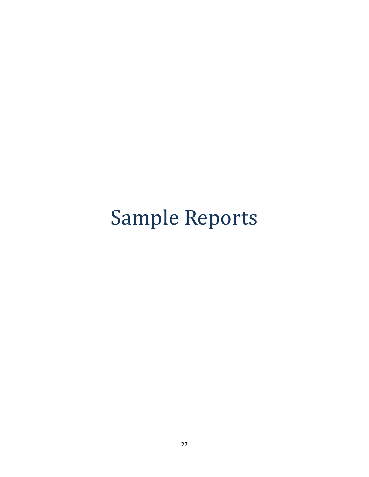# Sample Reports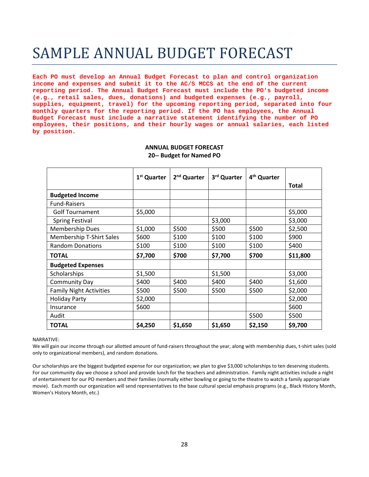## SAMPLE ANNUAL BUDGET FORECAST

**Each PO must develop an Annual Budget Forecast to plan and control organization income and expenses and submit it to the AC/S MCCS at the end of the current reporting period. The Annual Budget Forecast must include the PO's budgeted income (e.g., retail sales, dues, donations) and budgeted expenses (e.g., payroll, supplies, equipment, travel) for the upcoming reporting period, separated into four monthly quarters for the reporting period. If the PO has employees, the Annual Budget Forecast must include a narrative statement identifying the number of PO employees, their positions, and their hourly wages or annual salaries, each listed by position.**

|                                 | 1 <sup>st</sup> Quarter | 2 <sup>nd</sup> Quarter | 3rd Quarter | 4 <sup>th</sup> Quarter |              |
|---------------------------------|-------------------------|-------------------------|-------------|-------------------------|--------------|
|                                 |                         |                         |             |                         | <b>Total</b> |
| <b>Budgeted Income</b>          |                         |                         |             |                         |              |
| <b>Fund-Raisers</b>             |                         |                         |             |                         |              |
| <b>Golf Tournament</b>          | \$5,000                 |                         |             |                         | \$5,000      |
| <b>Spring Festival</b>          |                         |                         | \$3,000     |                         | \$3,000      |
| <b>Membership Dues</b>          | \$1,000                 | \$500                   | \$500       | \$500                   | \$2,500      |
| <b>Membership T-Shirt Sales</b> | \$600                   | \$100                   | \$100       | \$100                   | \$900        |
| <b>Random Donations</b>         | \$100                   | \$100                   | \$100       | \$100                   | \$400        |
| <b>TOTAL</b>                    | \$7,700                 | \$700                   | \$7,700     | \$700                   | \$11,800     |
| <b>Budgeted Expenses</b>        |                         |                         |             |                         |              |
| <b>Scholarships</b>             | \$1,500                 |                         | \$1,500     |                         | \$3,000      |
| <b>Community Day</b>            | \$400                   | \$400                   | \$400       | \$400                   | \$1,600      |
| <b>Family Night Activities</b>  | \$500                   | \$500                   | \$500       | \$500                   | \$2,000      |
| <b>Holiday Party</b>            | \$2,000                 |                         |             |                         | \$2,000      |
| Insurance                       | \$600                   |                         |             |                         | \$600        |
| Audit                           |                         |                         |             | \$500                   | \$500        |
| <b>TOTAL</b>                    | \$4,250                 | \$1,650                 | \$1,650     | \$2,150                 | \$9,700      |

#### **ANNUAL BUDGET FORECAST 20-- Budget for Named PO**

#### NARRATIVE:

We will gain our income through our allotted amount of fund-raisers throughout the year, along with membership dues, t-shirt sales (sold only to organizational members), and random donations.

Our scholarships are the biggest budgeted expense for our organization; we plan to give \$3,000 scholarships to ten deserving students. For our community day we choose a school and provide lunch for the teachers and administration. Family night activities include a night of entertainment for our PO members and their families (normally either bowling or going to the theatre to watch a family appropriate movie). Each month our organization will send representatives to the base cultural special emphasis programs (e.g., Black History Month, Women's History Month, etc.)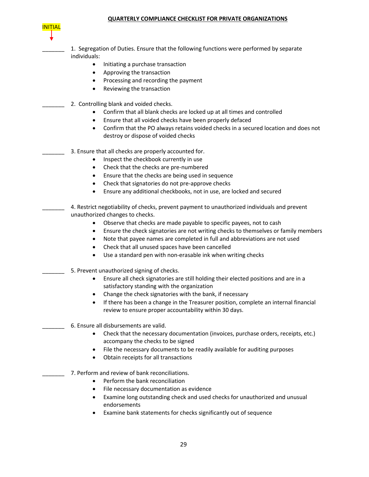#### **QUARTERLY COMPLIANCE CHECKLIST FOR PRIVATE ORGANIZATIONS**



1. Segregation of Duties. Ensure that the following functions were performed by separate individuals:

- Initiating a purchase transaction
- Approving the transaction
- Processing and recording the payment
- Reviewing the transaction
- 2. Controlling blank and voided checks.
	- Confirm that all blank checks are locked up at all times and controlled
	- Ensure that all voided checks have been properly defaced
	- Confirm that the PO always retains voided checks in a secured location and does not destroy or dispose of voided checks
- 3. Ensure that all checks are properly accounted for.
	- Inspect the checkbook currently in use
	- Check that the checks are pre-numbered
	- Ensure that the checks are being used in sequence
	- Check that signatories do not pre-approve checks
	- Ensure any additional checkbooks, not in use, are locked and secured
- \_\_\_\_\_\_\_ 4. Restrict negotiability of checks, prevent payment to unauthorized individuals and prevent unauthorized changes to checks.
	- Observe that checks are made payable to specific payees, not to cash
	- Ensure the check signatories are not writing checks to themselves or family members
	- Note that payee names are completed in full and abbreviations are not used
	- Check that all unused spaces have been cancelled
	- Use a standard pen with non-erasable ink when writing checks
- \_\_\_\_\_\_\_ 5. Prevent unauthorized signing of checks.
	- Ensure all check signatories are still holding their elected positions and are in a satisfactory standing with the organization
	- Change the check signatories with the bank, if necessary
	- If there has been a change in the Treasurer position, complete an internal financial review to ensure proper accountability within 30 days.
- \_\_\_\_\_\_\_ 6. Ensure all disbursements are valid.
	- Check that the necessary documentation (invoices, purchase orders, receipts, etc.) accompany the checks to be signed
	- File the necessary documents to be readily available for auditing purposes
	- Obtain receipts for all transactions
- 7. Perform and review of bank reconciliations.
	- Perform the bank reconciliation
	- File necessary documentation as evidence
	- Examine long outstanding check and used checks for unauthorized and unusual endorsements
	- Examine bank statements for checks significantly out of sequence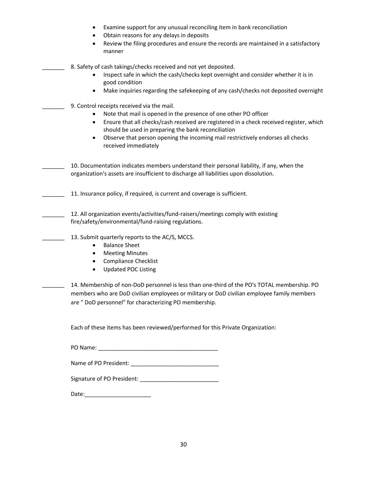| Examine support for any unusual reconciling item in bank reconciliation<br>Obtain reasons for any delays in deposits<br>Review the filing procedures and ensure the records are maintained in a satisfactory<br>manner                                                                                                                                                                   |
|------------------------------------------------------------------------------------------------------------------------------------------------------------------------------------------------------------------------------------------------------------------------------------------------------------------------------------------------------------------------------------------|
| 8. Safety of cash takings/checks received and not yet deposited.<br>Inspect safe in which the cash/checks kept overnight and consider whether it is in<br>good condition<br>Make inquiries regarding the safekeeping of any cash/checks not deposited overnight<br>$\bullet$                                                                                                             |
| 9. Control receipts received via the mail.<br>Note that mail is opened in the presence of one other PO officer<br>Ensure that all checks/cash received are registered in a check received register, which<br>should be used in preparing the bank reconciliation<br>Observe that person opening the incoming mail restrictively endorses all checks<br>$\bullet$<br>received immediately |
| 10. Documentation indicates members understand their personal liability, if any, when the<br>organization's assets are insufficient to discharge all liabilities upon dissolution.                                                                                                                                                                                                       |
| 11. Insurance policy, if required, is current and coverage is sufficient.                                                                                                                                                                                                                                                                                                                |
| 12. All organization events/activities/fund-raisers/meetings comply with existing<br>fire/safety/environmental/fund-raising regulations.                                                                                                                                                                                                                                                 |
| 13. Submit quarterly reports to the AC/S, MCCS.<br><b>Balance Sheet</b><br><b>Meeting Minutes</b><br>٠<br><b>Compliance Checklist</b><br><b>Updated POC Listing</b>                                                                                                                                                                                                                      |
| 14. Membership of non-DoD personnel is less than one-third of the PO's TOTAL membership. PO<br>members who are DoD civilian employees or military or DoD civilian employee family members<br>are " DoD personnel" for characterizing PO membership.                                                                                                                                      |
| Each of these items has been reviewed/performed for this Private Organization:                                                                                                                                                                                                                                                                                                           |
|                                                                                                                                                                                                                                                                                                                                                                                          |
|                                                                                                                                                                                                                                                                                                                                                                                          |
|                                                                                                                                                                                                                                                                                                                                                                                          |
|                                                                                                                                                                                                                                                                                                                                                                                          |
|                                                                                                                                                                                                                                                                                                                                                                                          |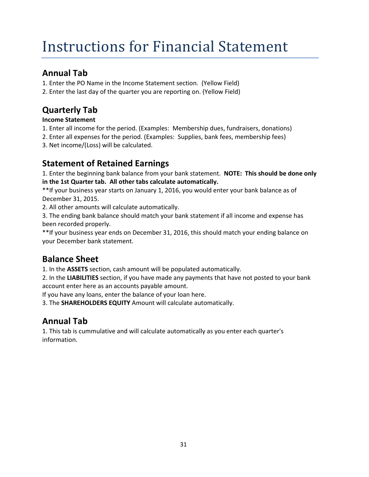# Instructions for Financial Statement

### **Annual Tab**

1. Enter the PO Name in the Income Statement section. (Yellow Field)

2. Enter the last day of the quarter you are reporting on. (Yellow Field)

### **Quarterly Tab**

#### **Income Statement**

- 1. Enter all income for the period. (Examples: Membership dues, fundraisers, donations)
- 2. Enter all expenses for the period. (Examples: Supplies, bank fees, membership fees)
- 3. Net income/(Loss) will be calculated.

### **Statement of Retained Earnings**

1. Enter the beginning bank balance from your bank statement. **NOTE: This should be done only in the 1st Quarter tab. All other tabs calculate automatically.**

\*\*If your business year starts on January 1, 2016, you would enter your bank balance as of December 31, 2015.

2. All other amounts will calculate automatically.

3. The ending bank balance should match your bank statement if all income and expense has been recorded properly.

\*\*If your business year ends on December 31, 2016, this should match your ending balance on your December bank statement.

### **Balance Sheet**

1. In the **ASSETS** section, cash amount will be populated automatically.

2. In the **LIABILITIES** section, if you have made any payments that have not posted to your bank account enter here as an accounts payable amount.

If you have any loans, enter the balance of your loan here.

3. The **SHAREHOLDERS EQUITY** Amount will calculate automatically.

### **Annual Tab**

1. This tab is cummulative and will calculate automatically as you enter each quarter's information.